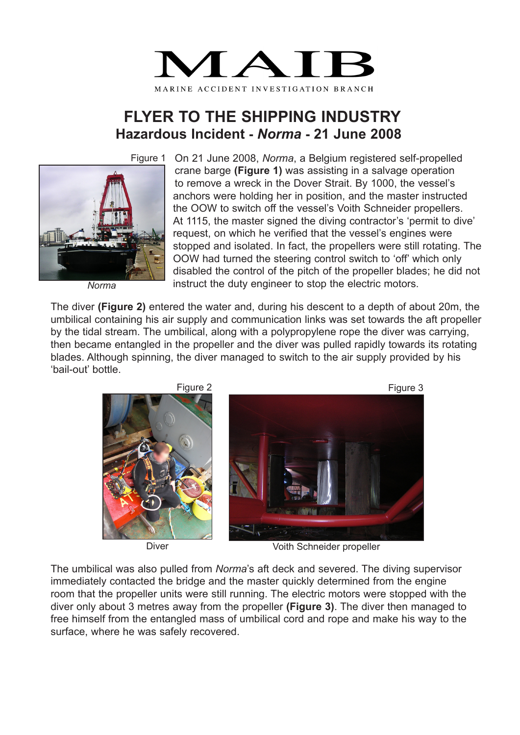

## **FLYER TO THE SHIPPING INDUSTRY Hazardous Incident -** *Norma* **- 21 June 2008**

Figure 1



*Norma*

On 21 June 2008, *Norma*, a Belgium registered self-propelled crane barge **(Figure 1)** was assisting in a salvage operation to remove a wreck in the Dover Strait. By 1000, the vessel's anchors were holding her in position, and the master instructed the OOW to switch off the vessel's Voith Schneider propellers. At 1115, the master signed the diving contractor's 'permit to dive' request, on which he verified that the vessel's engines were stopped and isolated. In fact, the propellers were still rotating. The OOW had turned the steering control switch to 'off' which only disabled the control of the pitch of the propeller blades; he did not instruct the duty engineer to stop the electric motors.

The diver **(Figure 2)** entered the water and, during his descent to a depth of about 20m, the umbilical containing his air supply and communication links was set towards the aft propeller by the tidal stream. The umbilical, along with a polypropylene rope the diver was carrying, then became entangled in the propeller and the diver was pulled rapidly towards its rotating blades. Although spinning, the diver managed to switch to the air supply provided by his 'bail-out' bottle.



Diver **Diver Conserverse School** Voith Schneider propeller

The umbilical was also pulled from *Norma*'s aft deck and severed. The diving supervisor immediately contacted the bridge and the master quickly determined from the engine room that the propeller units were still running. The electric motors were stopped with the diver only about 3 metres away from the propeller **(Figure 3)**. The diver then managed to free himself from the entangled mass of umbilical cord and rope and make his way to the surface, where he was safely recovered.